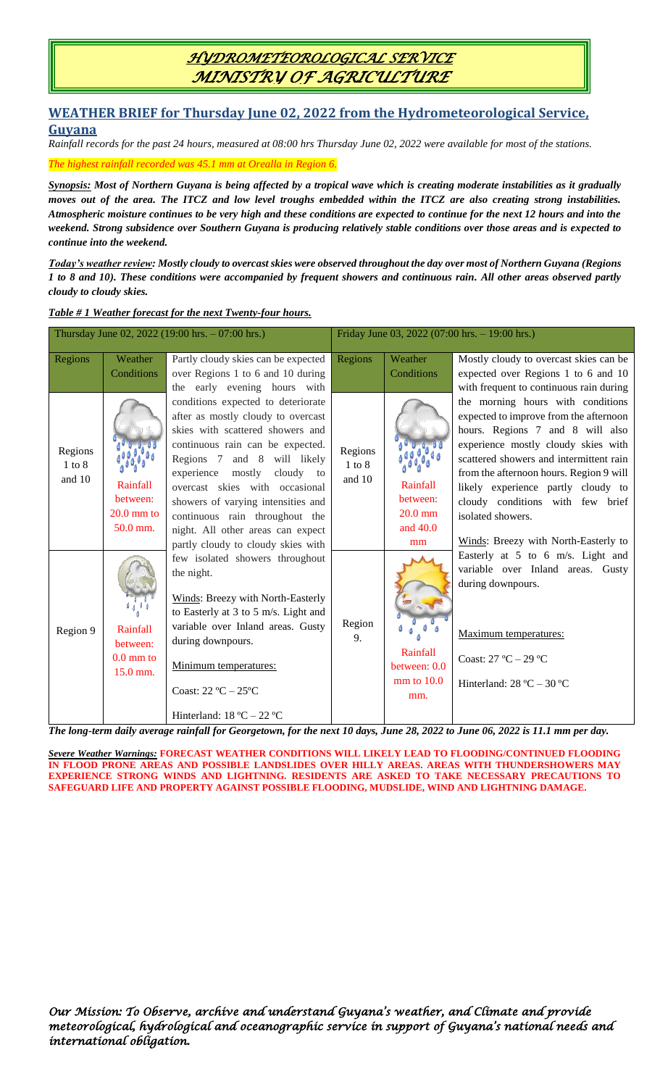## *HYDROMETEOROLOGICAL SERVICE MINISTRY OF AGRICULTURE*

#### **WEATHER BRIEF for Thursday June 02, 2022 from the Hydrometeorological Service, Guyana**

*Rainfall records for the past 24 hours, measured at 08:00 hrs Thursday June 02, 2022 were available for most of the stations.*

*The highest rainfall recorded was 45.1 mm at Orealla in Region 6.*

*Synopsis: Most of Northern Guyana is being affected by a tropical wave which is creating moderate instabilities as it gradually moves out of the area. The ITCZ and low level troughs embedded within the ITCZ are also creating strong instabilities. Atmospheric moisture continues to be very high and these conditions are expected to continue for the next 12 hours and into the weekend. Strong subsidence over Southern Guyana is producing relatively stable conditions over those areas and is expected to continue into the weekend.*

*Today's weather review: Mostly cloudy to overcast skies were observed throughout the day over most of Northern Guyana (Regions 1 to 8 and 10). These conditions were accompanied by frequent showers and continuous rain. All other areas observed partly cloudy to cloudy skies.*

*Table # 1 Weather forecast for the next Twenty-four hours.*

| Thursday June 02, 2022 (19:00 hrs. $-07:00$ hrs.) |                                 |                                             | Friday June 03, 2022 (07:00 hrs. - 19:00 hrs.) |                |                                         |
|---------------------------------------------------|---------------------------------|---------------------------------------------|------------------------------------------------|----------------|-----------------------------------------|
| Regions                                           | Weather                         | Partly cloudy skies can be expected         | Regions                                        | Weather        | Mostly cloudy to overcast skies can be  |
|                                                   | Conditions                      | over Regions 1 to 6 and 10 during           |                                                | Conditions     | expected over Regions 1 to 6 and 10     |
|                                                   |                                 | the early evening hours with                |                                                |                | with frequent to continuous rain during |
| Regions<br>$1$ to $8$<br>and 10                   |                                 | conditions expected to deteriorate          |                                                |                | the morning hours with conditions       |
|                                                   |                                 | after as mostly cloudy to overcast          |                                                |                | expected to improve from the afternoon  |
|                                                   |                                 | skies with scattered showers and            | Regions<br>$1$ to $8$                          |                | hours. Regions 7 and 8 will also        |
|                                                   |                                 | continuous rain can be expected.            |                                                |                | experience mostly cloudy skies with     |
|                                                   |                                 | Regions 7 and 8 will likely                 |                                                |                | scattered showers and intermittent rain |
|                                                   |                                 | experience mostly cloudy to                 | and 10                                         |                | from the afternoon hours. Region 9 will |
|                                                   | Rainfall                        | overcast skies with occasional              |                                                | Rainfall       | likely experience partly cloudy to      |
|                                                   | between:                        | showers of varying intensities and          |                                                | between:       | cloudy conditions with few brief        |
|                                                   | $20.0 \text{ mm}$ to            | continuous rain throughout the              |                                                | $20.0$ mm      | isolated showers.                       |
|                                                   | 50.0 mm.                        | night. All other areas can expect           |                                                | and 40.0       |                                         |
|                                                   |                                 | partly cloudy to cloudy skies with          |                                                | mm             | Winds: Breezy with North-Easterly to    |
| Region 9                                          |                                 | few isolated showers throughout             |                                                |                | Easterly at 5 to 6 m/s. Light and       |
|                                                   |                                 | the night.                                  |                                                |                | variable over Inland areas. Gusty       |
|                                                   |                                 |                                             |                                                |                | during downpours.                       |
|                                                   |                                 | Winds: Breezy with North-Easterly           |                                                |                |                                         |
|                                                   |                                 | to Easterly at 3 to 5 m/s. Light and        |                                                |                |                                         |
|                                                   | Rainfall                        | variable over Inland areas. Gusty           | Region<br>9.                                   |                | Maximum temperatures:                   |
|                                                   | between:                        | during downpours.                           |                                                | Rainfall       |                                         |
|                                                   | $0.0 \text{ mm}$ to<br>15.0 mm. | Minimum temperatures:                       |                                                | between: 0.0   | Coast: $27^{\circ}$ C $- 29^{\circ}$ C  |
|                                                   |                                 |                                             |                                                |                |                                         |
|                                                   |                                 | Coast: $22^{\circ}C - 25^{\circ}C$          |                                                | $mm$ to $10.0$ | Hinterland: $28 °C - 30 °C$             |
|                                                   |                                 |                                             |                                                | mm.            |                                         |
|                                                   |                                 | Hinterland: $18 \text{ °C} - 22 \text{ °C}$ |                                                |                |                                         |
|                                                   | $\mathbf{v}$ $\mathbf{v}$       |                                             |                                                |                |                                         |

*The long-term daily average rainfall for Georgetown, for the next 10 days, June 28, 2022 to June 06, 2022 is 11.1 mm per day.*

*Severe Weather Warnings:* **FORECAST WEATHER CONDITIONS WILL LIKELY LEAD TO FLOODING/CONTINUED FLOODING IN FLOOD PRONE AREAS AND POSSIBLE LANDSLIDES OVER HILLY AREAS. AREAS WITH THUNDERSHOWERS MAY EXPERIENCE STRONG WINDS AND LIGHTNING. RESIDENTS ARE ASKED TO TAKE NECESSARY PRECAUTIONS TO SAFEGUARD LIFE AND PROPERTY AGAINST POSSIBLE FLOODING, MUDSLIDE, WIND AND LIGHTNING DAMAGE.**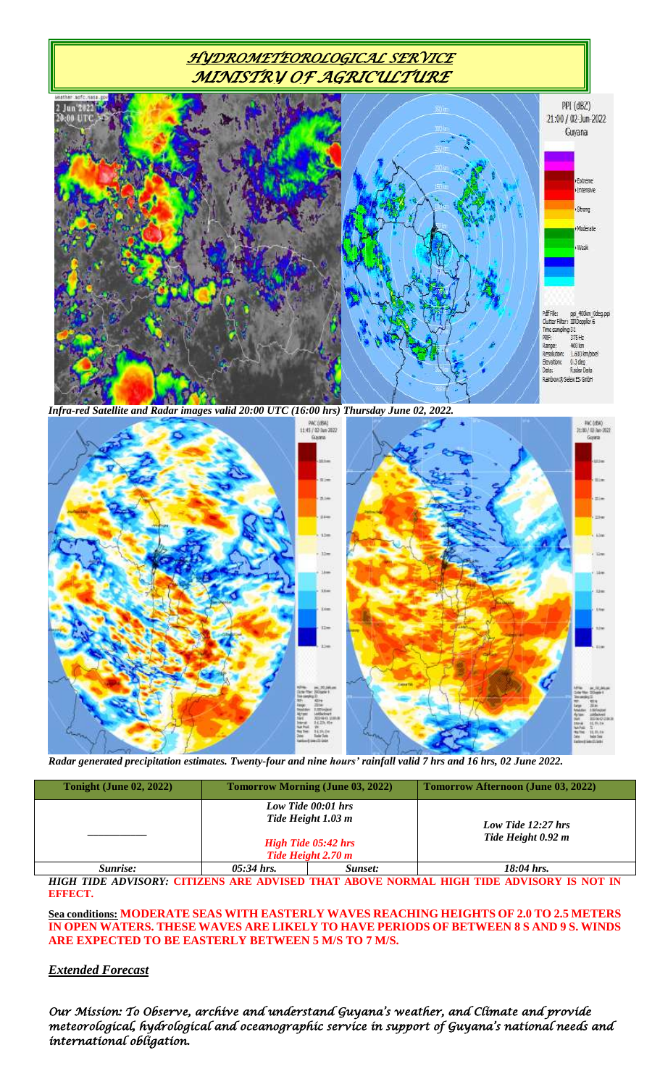## *HYDROMETEOROLOGICAL SERVICE MINISTRY OF AGRICULTURE*



*Infra-red Satellite and Radar images valid 20:00 UTC (16:00 hrs) Thursday June 02, 2022.*



*Radar generated precipitation estimates. Twenty-four and nine hours' rainfall valid 7 hrs and 16 hrs, 02 June 2022.*

| <b>Tonight (June 02, 2022)</b> | <b>Tomorrow Morning (June 03, 2022)</b> |                                                                                              | Tomorrow Afternoon (June 03, 2022)       |  |
|--------------------------------|-----------------------------------------|----------------------------------------------------------------------------------------------|------------------------------------------|--|
|                                |                                         | Low Tide 00:01 hrs<br>Tide Height 1.03 m<br><b>High Tide 05:42 hrs</b><br>Tide Height 2.70 m | Low Tide 12:27 hrs<br>Tide Height 0.92 m |  |
| Sunrise:                       | $05:34$ hrs.                            | Sunset:                                                                                      | $18:04$ hrs.                             |  |

*HIGH TIDE ADVISORY:* **CITIZENS ARE ADVISED THAT ABOVE NORMAL HIGH TIDE ADVISORY IS NOT IN EFFECT.**

**Sea conditions: MODERATE SEAS WITH EASTERLY WAVES REACHING HEIGHTS OF 2.0 TO 2.5 METERS IN OPEN WATERS. THESE WAVES ARE LIKELY TO HAVE PERIODS OF BETWEEN 8 S AND 9 S. WINDS ARE EXPECTED TO BE EASTERLY BETWEEN 5 M/S TO 7 M/S.**

#### *Extended Forecast*

*Our Mission: To Observe, archive and understand Guyana's weather, and Climate and provide meteorological, hydrological and oceanographic service in support of Guyana's national needs and international obligation.*